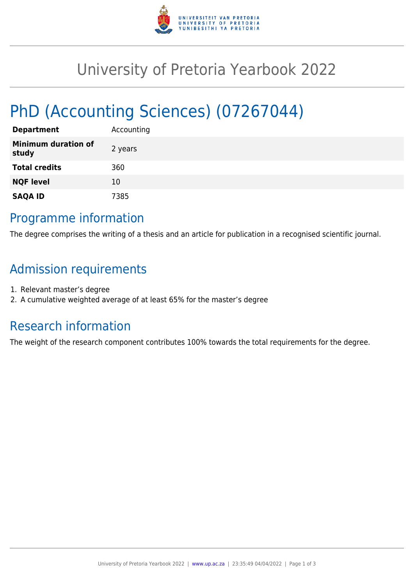

## University of Pretoria Yearbook 2022

# PhD (Accounting Sciences) (07267044)

| <b>Department</b>                   | Accounting |
|-------------------------------------|------------|
| <b>Minimum duration of</b><br>study | 2 years    |
| <b>Total credits</b>                | 360        |
| <b>NQF level</b>                    | 10         |
| <b>SAQA ID</b>                      | 7385       |

### Programme information

The degree comprises the writing of a thesis and an article for publication in a recognised scientific journal.

## Admission requirements

- 1. Relevant master's degree
- 2. A cumulative weighted average of at least 65% for the master's degree

## Research information

The weight of the research component contributes 100% towards the total requirements for the degree.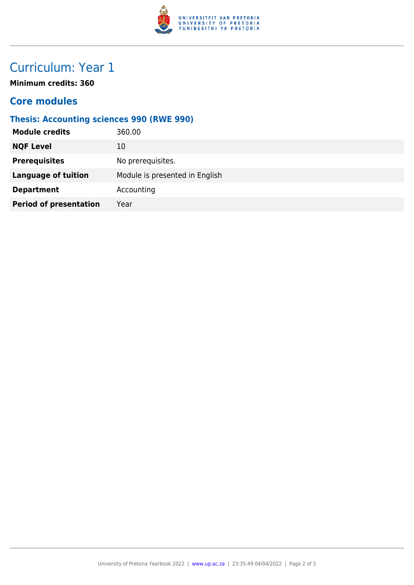

## Curriculum: Year 1

**Minimum credits: 360**

#### **Core modules**

#### **Thesis: Accounting sciences 990 (RWE 990)**

| <b>Module credits</b><br>360.00       |                                |
|---------------------------------------|--------------------------------|
| <b>NQF Level</b><br>10                |                                |
| <b>Prerequisites</b>                  | No prerequisites.              |
| <b>Language of tuition</b>            | Module is presented in English |
| <b>Department</b>                     | Accounting                     |
| <b>Period of presentation</b><br>Year |                                |